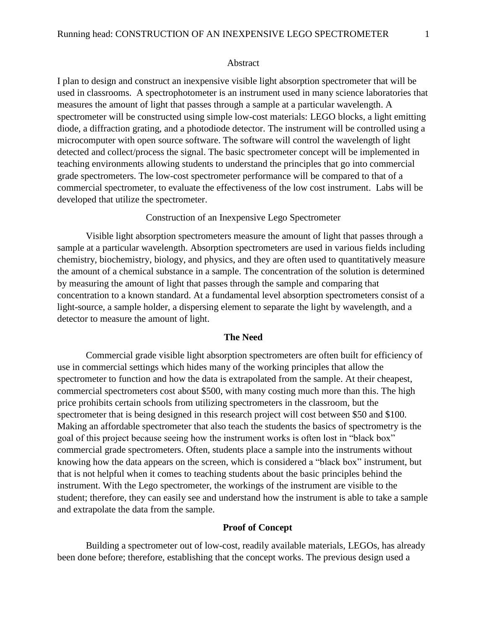#### Abstract

I plan to design and construct an inexpensive visible light absorption spectrometer that will be used in classrooms. A spectrophotometer is an instrument used in many science laboratories that measures the amount of light that passes through a sample at a particular wavelength. A spectrometer will be constructed using simple low-cost materials: LEGO blocks, a light emitting diode, a diffraction grating, and a photodiode detector. The instrument will be controlled using a microcomputer with open source software. The software will control the wavelength of light detected and collect/process the signal. The basic spectrometer concept will be implemented in teaching environments allowing students to understand the principles that go into commercial grade spectrometers. The low-cost spectrometer performance will be compared to that of a commercial spectrometer, to evaluate the effectiveness of the low cost instrument. Labs will be developed that utilize the spectrometer.

### Construction of an Inexpensive Lego Spectrometer

Visible light absorption spectrometers measure the amount of light that passes through a sample at a particular wavelength. Absorption spectrometers are used in various fields including chemistry, biochemistry, biology, and physics, and they are often used to quantitatively measure the amount of a chemical substance in a sample. The concentration of the solution is determined by measuring the amount of light that passes through the sample and comparing that concentration to a known standard. At a fundamental level absorption spectrometers consist of a light-source, a sample holder, a dispersing element to separate the light by wavelength, and a detector to measure the amount of light.

## **The Need**

Commercial grade visible light absorption spectrometers are often built for efficiency of use in commercial settings which hides many of the working principles that allow the spectrometer to function and how the data is extrapolated from the sample. At their cheapest, commercial spectrometers cost about \$500, with many costing much more than this. The high price prohibits certain schools from utilizing spectrometers in the classroom, but the spectrometer that is being designed in this research project will cost between \$50 and \$100. Making an affordable spectrometer that also teach the students the basics of spectrometry is the goal of this project because seeing how the instrument works is often lost in "black box" commercial grade spectrometers. Often, students place a sample into the instruments without knowing how the data appears on the screen, which is considered a "black box" instrument, but that is not helpful when it comes to teaching students about the basic principles behind the instrument. With the Lego spectrometer, the workings of the instrument are visible to the student; therefore, they can easily see and understand how the instrument is able to take a sample and extrapolate the data from the sample.

### **Proof of Concept**

Building a spectrometer out of low-cost, readily available materials, LEGOs, has already been done before; therefore, establishing that the concept works. The previous design used a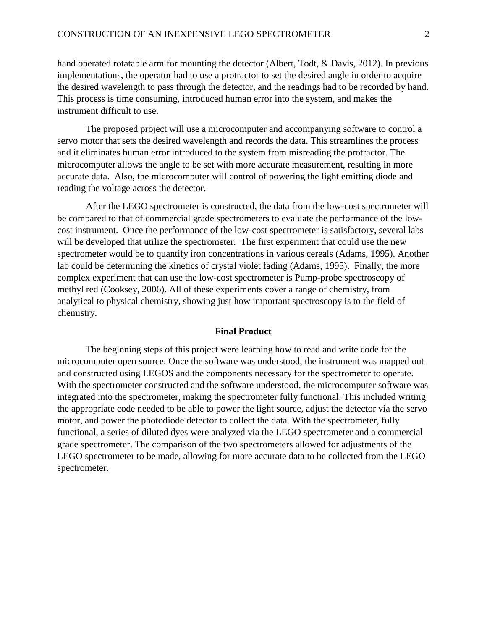hand operated rotatable arm for mounting the detector (Albert, Todt, & Davis, 2012). In previous implementations, the operator had to use a protractor to set the desired angle in order to acquire the desired wavelength to pass through the detector, and the readings had to be recorded by hand. This process is time consuming, introduced human error into the system, and makes the instrument difficult to use.

The proposed project will use a microcomputer and accompanying software to control a servo motor that sets the desired wavelength and records the data. This streamlines the process and it eliminates human error introduced to the system from misreading the protractor. The microcomputer allows the angle to be set with more accurate measurement, resulting in more accurate data. Also, the microcomputer will control of powering the light emitting diode and reading the voltage across the detector.

After the LEGO spectrometer is constructed, the data from the low-cost spectrometer will be compared to that of commercial grade spectrometers to evaluate the performance of the lowcost instrument. Once the performance of the low-cost spectrometer is satisfactory, several labs will be developed that utilize the spectrometer. The first experiment that could use the new spectrometer would be to quantify iron concentrations in various cereals (Adams, 1995). Another lab could be determining the kinetics of crystal violet fading (Adams, 1995). Finally, the more complex experiment that can use the low-cost spectrometer is Pump-probe spectroscopy of methyl red (Cooksey, 2006). All of these experiments cover a range of chemistry, from analytical to physical chemistry, showing just how important spectroscopy is to the field of chemistry.

### **Final Product**

The beginning steps of this project were learning how to read and write code for the microcomputer open source. Once the software was understood, the instrument was mapped out and constructed using LEGOS and the components necessary for the spectrometer to operate. With the spectrometer constructed and the software understood, the microcomputer software was integrated into the spectrometer, making the spectrometer fully functional. This included writing the appropriate code needed to be able to power the light source, adjust the detector via the servo motor, and power the photodiode detector to collect the data. With the spectrometer, fully functional, a series of diluted dyes were analyzed via the LEGO spectrometer and a commercial grade spectrometer. The comparison of the two spectrometers allowed for adjustments of the LEGO spectrometer to be made, allowing for more accurate data to be collected from the LEGO spectrometer.